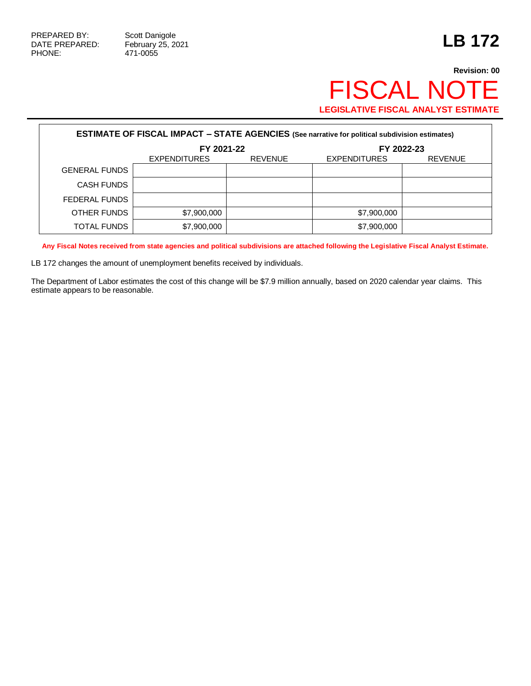471-0055

## **Revision: 00** FISCAL NOTE **LEGISLATIVE FISCAL ANALYST ESTIMATE**

| <b>ESTIMATE OF FISCAL IMPACT - STATE AGENCIES (See narrative for political subdivision estimates)</b> |                     |                |                     |                |  |  |  |
|-------------------------------------------------------------------------------------------------------|---------------------|----------------|---------------------|----------------|--|--|--|
|                                                                                                       | FY 2021-22          |                | FY 2022-23          |                |  |  |  |
|                                                                                                       | <b>EXPENDITURES</b> | <b>REVENUE</b> | <b>EXPENDITURES</b> | <b>REVENUE</b> |  |  |  |
| <b>GENERAL FUNDS</b>                                                                                  |                     |                |                     |                |  |  |  |
| <b>CASH FUNDS</b>                                                                                     |                     |                |                     |                |  |  |  |
| FEDERAL FUNDS                                                                                         |                     |                |                     |                |  |  |  |
| OTHER FUNDS                                                                                           | \$7,900,000         |                | \$7,900,000         |                |  |  |  |
| TOTAL FUNDS                                                                                           | \$7,900,000         |                | \$7,900,000         |                |  |  |  |

**Any Fiscal Notes received from state agencies and political subdivisions are attached following the Legislative Fiscal Analyst Estimate.**

LB 172 changes the amount of unemployment benefits received by individuals.

The Department of Labor estimates the cost of this change will be \$7.9 million annually, based on 2020 calendar year claims. This estimate appears to be reasonable.